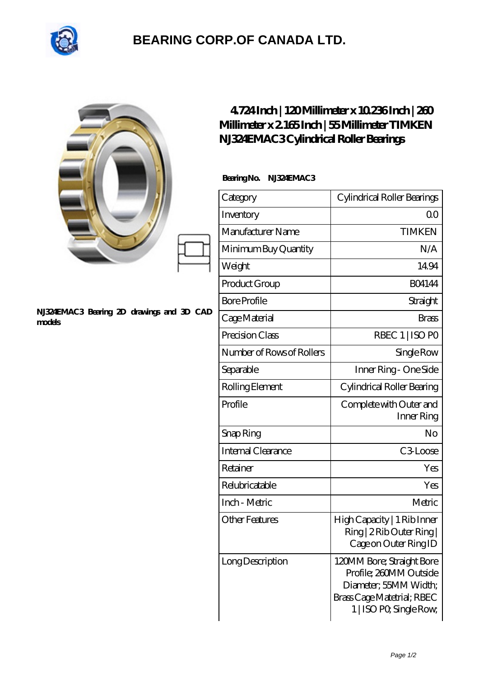

## **[BEARING CORP.OF CANADA LTD.](https://m.2sintermetalltechnik.de)**

|                                                     | 4724Inch   120Millimeter x 10236Inch   260<br>Millimeter x 2 165 Inch   55 Millimeter TIMKEN<br>NJ324EMAC3Cylindrical Roller Bearings |                                                                                                                                       |
|-----------------------------------------------------|---------------------------------------------------------------------------------------------------------------------------------------|---------------------------------------------------------------------------------------------------------------------------------------|
| NJ324EMAC3 Bearing 2D drawings and 3D CAD<br>models | BearingNo. NJ324EMAC3                                                                                                                 |                                                                                                                                       |
|                                                     | Category                                                                                                                              | Cylindrical Roller Bearings                                                                                                           |
|                                                     | Inventory                                                                                                                             | 0 <sup>0</sup>                                                                                                                        |
|                                                     | Manufacturer Name                                                                                                                     | <b>TIMKEN</b>                                                                                                                         |
|                                                     | Minimum Buy Quantity                                                                                                                  | N/A                                                                                                                                   |
|                                                     | Weight                                                                                                                                | 1494                                                                                                                                  |
|                                                     | Product Group                                                                                                                         | <b>BO4144</b>                                                                                                                         |
|                                                     | <b>Bore Profile</b>                                                                                                                   | Straight                                                                                                                              |
|                                                     | Cage Material                                                                                                                         | <b>Brass</b>                                                                                                                          |
|                                                     | Precision Class                                                                                                                       | RBEC 1   ISO PO                                                                                                                       |
|                                                     | Number of Rows of Rollers                                                                                                             | Single Row                                                                                                                            |
|                                                     | Separable                                                                                                                             | Inner Ring - One Side                                                                                                                 |
|                                                     | Rolling Element                                                                                                                       | Cylindrical Roller Bearing                                                                                                            |
|                                                     | Profile                                                                                                                               | Complete with Outer and<br>Inner Ring                                                                                                 |
|                                                     | Snap Ring                                                                                                                             | No                                                                                                                                    |
|                                                     | Internal Clearance                                                                                                                    | C3Loose                                                                                                                               |
|                                                     | Retainer                                                                                                                              | Yes                                                                                                                                   |
|                                                     | Relubricatable                                                                                                                        | Yes                                                                                                                                   |
|                                                     | Inch - Metric                                                                                                                         | Metric                                                                                                                                |
|                                                     | <b>Other Features</b>                                                                                                                 | High Capacity   1 Rib Inner<br>Ring   2 Rib Outer Ring  <br>Cage on Outer Ring ID                                                     |
|                                                     | Long Description                                                                                                                      | 120MM Bore; Straight Bore<br>Profile; 260MM Outside<br>Diameter; 55MM Width;<br>Brass Cage Matetrial; RBEC<br>1   ISO PO, Single Row, |